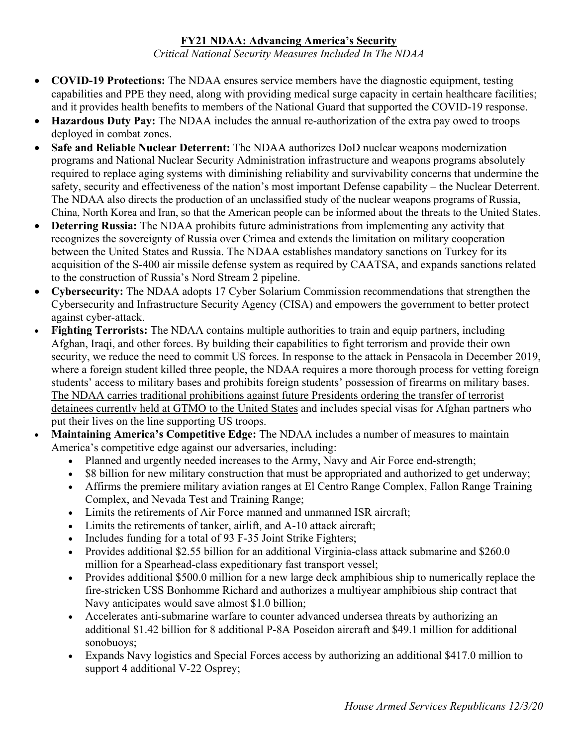## **FY21 NDAA: Advancing America's Security**

*Critical National Security Measures Included In The NDAA*

- **COVID-19 Protections:** The NDAA ensures service members have the diagnostic equipment, testing capabilities and PPE they need, along with providing medical surge capacity in certain healthcare facilities; and it provides health benefits to members of the National Guard that supported the COVID-19 response.
- **Hazardous Duty Pay:** The NDAA includes the annual re-authorization of the extra pay owed to troops deployed in combat zones.
- **Safe and Reliable Nuclear Deterrent:** The NDAA authorizes DoD nuclear weapons modernization programs and National Nuclear Security Administration infrastructure and weapons programs absolutely required to replace aging systems with diminishing reliability and survivability concerns that undermine the safety, security and effectiveness of the nation's most important Defense capability – the Nuclear Deterrent. The NDAA also directs the production of an unclassified study of the nuclear weapons programs of Russia, China, North Korea and Iran, so that the American people can be informed about the threats to the United States.
- **Deterring Russia:** The NDAA prohibits future administrations from implementing any activity that recognizes the sovereignty of Russia over Crimea and extends the limitation on military cooperation between the United States and Russia. The NDAA establishes mandatory sanctions on Turkey for its acquisition of the S-400 air missile defense system as required by CAATSA, and expands sanctions related to the construction of Russia's Nord Stream 2 pipeline.
- **Cybersecurity:** The NDAA adopts 17 Cyber Solarium Commission recommendations that strengthen the Cybersecurity and Infrastructure Security Agency (CISA) and empowers the government to better protect against cyber-attack.
- **Fighting Terrorists:** The NDAA contains multiple authorities to train and equip partners, including Afghan, Iraqi, and other forces. By building their capabilities to fight terrorism and provide their own security, we reduce the need to commit US forces. In response to the attack in Pensacola in December 2019, where a foreign student killed three people, the NDAA requires a more thorough process for vetting foreign students' access to military bases and prohibits foreign students' possession of firearms on military bases. The NDAA carries traditional prohibitions against future Presidents ordering the transfer of terrorist detainees currently held at GTMO to the United States and includes special visas for Afghan partners who put their lives on the line supporting US troops.
- **Maintaining America's Competitive Edge:** The NDAA includes a number of measures to maintain America's competitive edge against our adversaries, including:
	- Planned and urgently needed increases to the Army, Navy and Air Force end-strength;
	- \$8 billion for new military construction that must be appropriated and authorized to get underway;
	- Affirms the premiere military aviation ranges at El Centro Range Complex, Fallon Range Training Complex, and Nevada Test and Training Range;
	- Limits the retirements of Air Force manned and unmanned ISR aircraft;
	- Limits the retirements of tanker, airlift, and A-10 attack aircraft;
	- Includes funding for a total of 93 F-35 Joint Strike Fighters;
	- Provides additional \$2.55 billion for an additional Virginia-class attack submarine and \$260.0 million for a Spearhead-class expeditionary fast transport vessel;
	- Provides additional \$500.0 million for a new large deck amphibious ship to numerically replace the fire-stricken USS Bonhomme Richard and authorizes a multiyear amphibious ship contract that Navy anticipates would save almost \$1.0 billion;
	- Accelerates anti-submarine warfare to counter advanced undersea threats by authorizing an additional \$1.42 billion for 8 additional P-8A Poseidon aircraft and \$49.1 million for additional sonobuoys;
	- Expands Navy logistics and Special Forces access by authorizing an additional \$417.0 million to support 4 additional V-22 Osprey;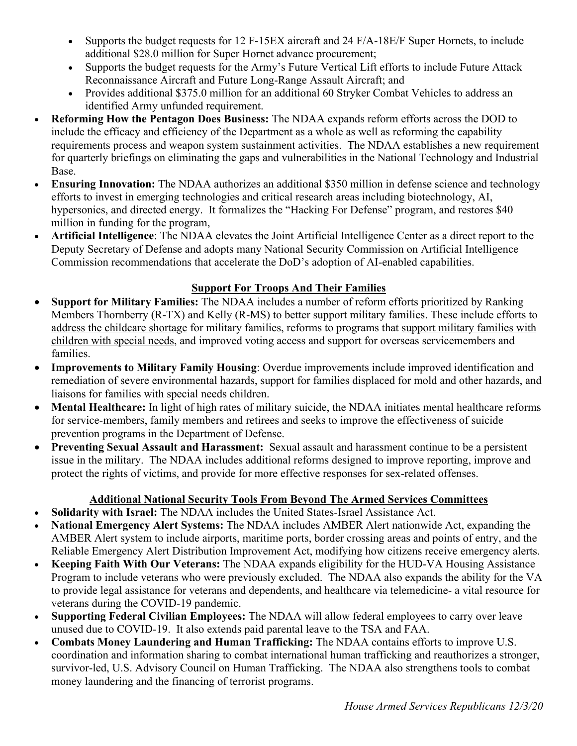- Supports the budget requests for 12 F-15 EX aircraft and 24 F/A-18 E/F Super Hornets, to include additional \$28.0 million for Super Hornet advance procurement;
- Supports the budget requests for the Army's Future Vertical Lift efforts to include Future Attack Reconnaissance Aircraft and Future Long-Range Assault Aircraft; and
- Provides additional \$375.0 million for an additional 60 Stryker Combat Vehicles to address an identified Army unfunded requirement.
- **Reforming How the Pentagon Does Business:** The NDAA expands reform efforts across the DOD to include the efficacy and efficiency of the Department as a whole as well as reforming the capability requirements process and weapon system sustainment activities. The NDAA establishes a new requirement for quarterly briefings on eliminating the gaps and vulnerabilities in the National Technology and Industrial Base.
- **Ensuring Innovation:** The NDAA authorizes an additional \$350 million in defense science and technology efforts to invest in emerging technologies and critical research areas including biotechnology, AI, hypersonics, and directed energy. It formalizes the "Hacking For Defense" program, and restores \$40 million in funding for the program,
- **Artificial Intelligence**: The NDAA elevates the Joint Artificial Intelligence Center as a direct report to the Deputy Secretary of Defense and adopts many National Security Commission on Artificial Intelligence Commission recommendations that accelerate the DoD's adoption of AI-enabled capabilities.

## **Support For Troops And Their Families**

- **Support for Military Families:** The NDAA includes a number of reform efforts prioritized by Ranking Members Thornberry (R-TX) and Kelly (R-MS) to better support military families. These include efforts to address the childcare shortage for military families, reforms to programs that support military families with children with special needs, and improved voting access and support for overseas servicemembers and families.
- **Improvements to Military Family Housing**: Overdue improvements include improved identification and remediation of severe environmental hazards, support for families displaced for mold and other hazards, and liaisons for families with special needs children.
- **Mental Healthcare:** In light of high rates of military suicide, the NDAA initiates mental healthcare reforms for service-members, family members and retirees and seeks to improve the effectiveness of suicide prevention programs in the Department of Defense.
- **Preventing Sexual Assault and Harassment:** Sexual assault and harassment continue to be a persistent issue in the military. The NDAA includes additional reforms designed to improve reporting, improve and protect the rights of victims, and provide for more effective responses for sex-related offenses.

## **Additional National Security Tools From Beyond The Armed Services Committees**

- **Solidarity with Israel:** The NDAA includes the United States-Israel Assistance Act.
- **National Emergency Alert Systems:** The NDAA includes AMBER Alert nationwide Act, expanding the AMBER Alert system to include airports, maritime ports, border crossing areas and points of entry, and the Reliable Emergency Alert Distribution Improvement Act, modifying how citizens receive emergency alerts.
- **Keeping Faith With Our Veterans:** The NDAA expands eligibility for the HUD-VA Housing Assistance Program to include veterans who were previously excluded. The NDAA also expands the ability for the VA to provide legal assistance for veterans and dependents, and healthcare via telemedicine- a vital resource for veterans during the COVID-19 pandemic.
- **Supporting Federal Civilian Employees:** The NDAA will allow federal employees to carry over leave unused due to COVID-19. It also extends paid parental leave to the TSA and FAA.
- **Combats Money Laundering and Human Trafficking:** The NDAA contains efforts to improve U.S. coordination and information sharing to combat international human trafficking and reauthorizes a stronger, survivor-led, U.S. Advisory Council on Human Trafficking. The NDAA also strengthens tools to combat money laundering and the financing of terrorist programs.